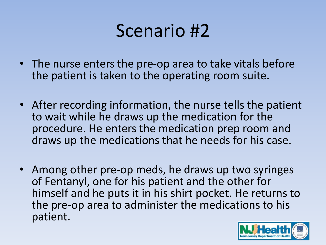- The nurse enters the pre-op area to take vitals before the patient is taken to the operating room suite.
- After recording information, the nurse tells the patient to wait while he draws up the medication for the procedure. He enters the medication prep room and draws up the medications that he needs for his case.
- Among other pre-op meds, he draws up two syringes of Fentanyl, one for his patient and the other for himself and he puts it in his shirt pocket. He returns to the pre-op area to administer the medications to his patient.

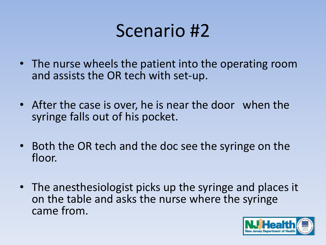- The nurse wheels the patient into the operating room and assists the OR tech with set-up.
- After the case is over, he is near the door when the syringe falls out of his pocket.
- Both the OR tech and the doc see the syringe on the floor.
- The anesthesiologist picks up the syringe and places it on the table and asks the nurse where the syringe came from.

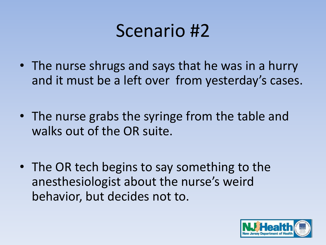- The nurse shrugs and says that he was in a hurry and it must be a left over from yesterday's cases.
- The nurse grabs the syringe from the table and walks out of the OR suite.
- The OR tech begins to say something to the anesthesiologist about the nurse's weird behavior, but decides not to.

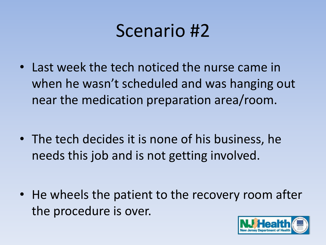• Last week the tech noticed the nurse came in when he wasn't scheduled and was hanging out near the medication preparation area/room.

• The tech decides it is none of his business, he needs this job and is not getting involved.

• He wheels the patient to the recovery room after the procedure is over.

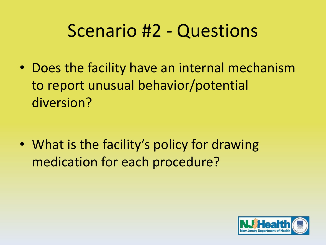• Does the facility have an internal mechanism to report unusual behavior/potential diversion?

• What is the facility's policy for drawing medication for each procedure?

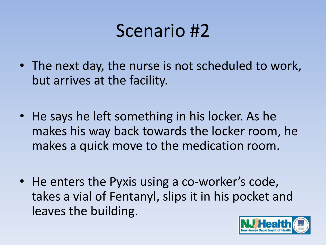- The next day, the nurse is not scheduled to work, but arrives at the facility.
- He says he left something in his locker. As he makes his way back towards the locker room, he makes a quick move to the medication room.
- He enters the Pyxis using a co-worker's code, takes a vial of Fentanyl, slips it in his pocket and leaves the building.

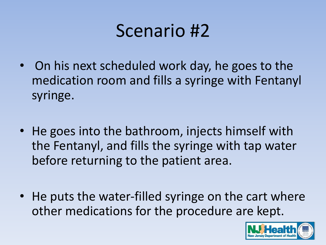- On his next scheduled work day, he goes to the medication room and fills a syringe with Fentanyl syringe.
- He goes into the bathroom, injects himself with the Fentanyl, and fills the syringe with tap water before returning to the patient area.
- He puts the water-filled syringe on the cart where other medications for the procedure are kept.

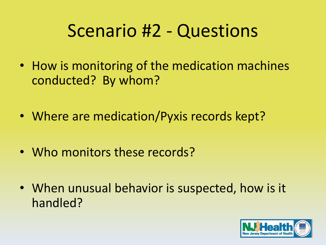- How is monitoring of the medication machines conducted? By whom?
- Where are medication/Pyxis records kept?
- Who monitors these records?
- When unusual behavior is suspected, how is it handled?

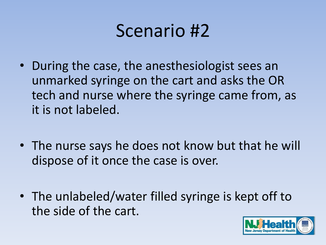- During the case, the anesthesiologist sees an unmarked syringe on the cart and asks the OR tech and nurse where the syringe came from, as it is not labeled.
- The nurse says he does not know but that he will dispose of it once the case is over.
- The unlabeled/water filled syringe is kept off to the side of the cart.

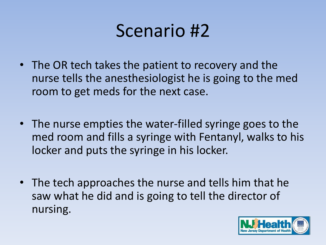- The OR tech takes the patient to recovery and the nurse tells the anesthesiologist he is going to the med room to get meds for the next case.
- The nurse empties the water-filled syringe goes to the med room and fills a syringe with Fentanyl, walks to his locker and puts the syringe in his locker.
- The tech approaches the nurse and tells him that he saw what he did and is going to tell the director of nursing.

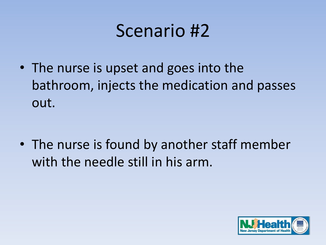• The nurse is upset and goes into the bathroom, injects the medication and passes out.

• The nurse is found by another staff member with the needle still in his arm.

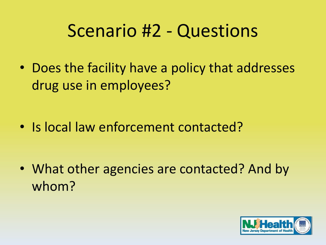• Does the facility have a policy that addresses drug use in employees?

• Is local law enforcement contacted?

• What other agencies are contacted? And by whom?